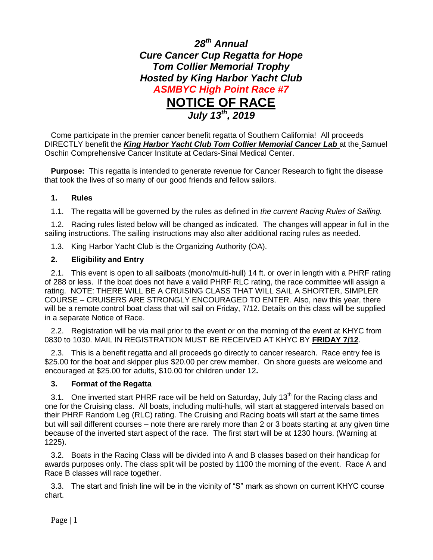

Come participate in the premier cancer benefit regatta of Southern California! All proceeds DIRECTLY benefit the *King Harbor Yacht Club Tom Collier Memorial Cancer Lab* at the Samuel Oschin Comprehensive Cancer Institute at Cedars-Sinai Medical Center.

**Purpose:** This regatta is intended to generate revenue for Cancer Research to fight the disease that took the lives of so many of our good friends and fellow sailors.

## **1. Rules**

1.1. The regatta will be governed by the rules as defined in *the current Racing Rules of Sailing.*

1.2. Racing rules listed below will be changed as indicated. The changes will appear in full in the sailing instructions. The sailing instructions may also alter additional racing rules as needed.

1.3. King Harbor Yacht Club is the Organizing Authority (OA).

## **2. Eligibility and Entry**

2.1. This event is open to all sailboats (mono/multi-hull) 14 ft. or over in length with a PHRF rating of 288 or less. If the boat does not have a valid PHRF RLC rating, the race committee will assign a rating. NOTE: THERE WILL BE A CRUISING CLASS THAT WILL SAIL A SHORTER, SIMPLER COURSE – CRUISERS ARE STRONGLY ENCOURAGED TO ENTER. Also, new this year, there will be a remote control boat class that will sail on Friday, 7/12. Details on this class will be supplied in a separate Notice of Race.

2.2. Registration will be via mail prior to the event or on the morning of the event at KHYC from 0830 to 1030. MAIL IN REGISTRATION MUST BE RECEIVED AT KHYC BY **FRIDAY 7/12**.

2.3. This is a benefit regatta and all proceeds go directly to cancer research. Race entry fee is \$25.00 for the boat and skipper plus \$20.00 per crew member. On shore guests are welcome and encouraged at \$25.00 for adults, \$10.00 for children under 12**.** 

#### **3. Format of the Regatta**

3.1. One inverted start PHRF race will be held on Saturday, July 13<sup>th</sup> for the Racing class and one for the Cruising class. All boats, including multi-hulls, will start at staggered intervals based on their PHRF Random Leg (RLC) rating. The Cruising and Racing boats will start at the same times but will sail different courses – note there are rarely more than 2 or 3 boats starting at any given time because of the inverted start aspect of the race. The first start will be at 1230 hours. (Warning at 1225).

3.2. Boats in the Racing Class will be divided into A and B classes based on their handicap for awards purposes only. The class split will be posted by 1100 the morning of the event. Race A and Race B classes will race together.

3.3. The start and finish line will be in the vicinity of "S" mark as shown on current KHYC course chart.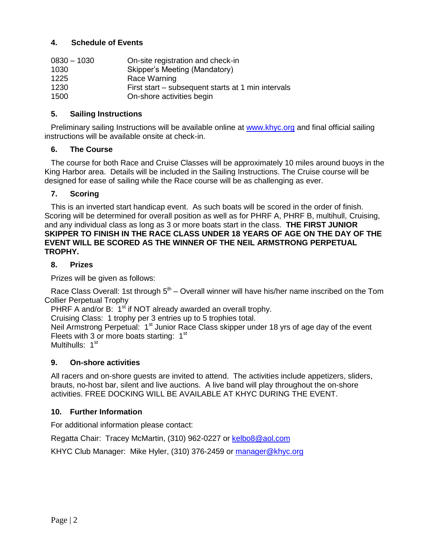## **4. Schedule of Events**

| $0830 - 1030$ | On-site registration and check-in                  |
|---------------|----------------------------------------------------|
| 1030          | Skipper's Meeting (Mandatory)                      |
| 1225          | Race Warning                                       |
| 1230          | First start – subsequent starts at 1 min intervals |
| 1500          | On-shore activities begin                          |

### **5. Sailing Instructions**

Preliminary sailing Instructions will be available online at [www.khyc.org](http://www.khyc.org/) and final official sailing instructions will be available onsite at check-in.

#### **6. The Course**

The course for both Race and Cruise Classes will be approximately 10 miles around buoys in the King Harbor area. Details will be included in the Sailing Instructions. The Cruise course will be designed for ease of sailing while the Race course will be as challenging as ever.

#### **7. Scoring**

This is an inverted start handicap event. As such boats will be scored in the order of finish. Scoring will be determined for overall position as well as for PHRF A, PHRF B, multihull, Cruising, and any individual class as long as 3 or more boats start in the class. **THE FIRST JUNIOR SKIPPER TO FINISH IN THE RACE CLASS UNDER 18 YEARS OF AGE ON THE DAY OF THE EVENT WILL BE SCORED AS THE WINNER OF THE NEIL ARMSTRONG PERPETUAL TROPHY.**

#### **8. Prizes**

Prizes will be given as follows:

Race Class Overall: 1st through  $5<sup>th</sup>$  – Overall winner will have his/her name inscribed on the Tom Collier Perpetual Trophy

PHRF A and/or B:  $1<sup>st</sup>$  if NOT already awarded an overall trophy.

Cruising Class: 1 trophy per 3 entries up to 5 trophies total.

Neil Armstrong Perpetual: 1<sup>st</sup> Junior Race Class skipper under 18 yrs of age day of the event Fleets with 3 or more boats starting:  $1<sup>st</sup>$ 

Multihulls: 1<sup>st</sup>

#### **9. On-shore activities**

All racers and on-shore guests are invited to attend. The activities include appetizers, sliders, brauts, no-host bar, silent and live auctions. A live band will play throughout the on-shore activities. FREE DOCKING WILL BE AVAILABLE AT KHYC DURING THE EVENT.

#### **10. Further Information**

For additional information please contact:

Regatta Chair: Tracey McMartin, (310) 962-0227 or [kelbo8@aol.com](mailto:kelbo8@aol.com)

KHYC Club Manager: Mike Hyler, (310) 376-2459 or [manager@khyc.org](mailto:manager@khyc.org)